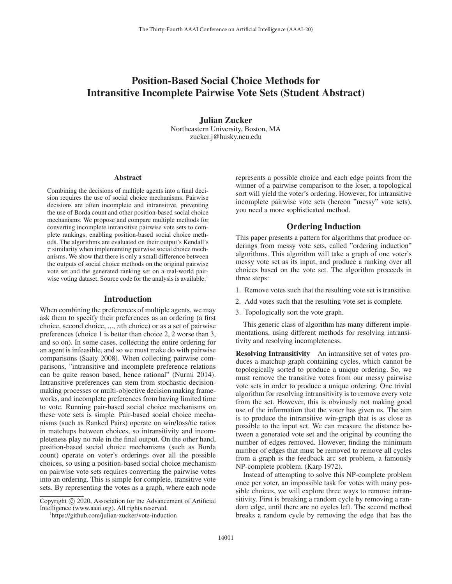# Position-Based Social Choice Methods for Intransitive Incomplete Pairwise Vote Sets (Student Abstract)

Julian Zucker Northeastern University, Boston, MA zucker.j@husky.neu.edu

#### Abstract

Combining the decisions of multiple agents into a final decision requires the use of social choice mechanisms. Pairwise decisions are often incomplete and intransitive, preventing the use of Borda count and other position-based social choice mechanisms. We propose and compare multiple methods for converting incomplete intransitive pairwise vote sets to complete rankings, enabling position-based social choice methods. The algorithms are evaluated on their output's Kendall's  $\tau$  similarity when implementing pairwise social choice mechanisms. We show that there is only a small difference between the outputs of social choice methods on the original pairwise vote set and the generated ranking set on a real-world pairwise voting dataset. Source code for the analysis is available.<sup>1</sup>

#### Introduction

When combining the preferences of multiple agents, we may ask them to specify their preferences as an ordering (a first choice, second choice, ..., nth choice) or as a set of pairwise preferences (choice 1 is better than choice 2, 2 worse than 3, and so on). In some cases, collecting the entire ordering for an agent is infeasible, and so we must make do with pairwise comparisons (Saaty 2008). When collecting pairwise comparisons, "intransitive and incomplete preference relations can be quite reason based, hence rational" (Nurmi 2014). Intransitive preferences can stem from stochastic decisionmaking processes or multi-objective decision making frameworks, and incomplete preferences from having limited time to vote. Running pair-based social choice mechanisms on these vote sets is simple. Pair-based social choice mechanisms (such as Ranked Pairs) operate on win/loss/tie ratios in matchups between choices, so intransitivity and incompleteness play no role in the final output. On the other hand, position-based social choice mechanisms (such as Borda count) operate on voter's orderings over all the possible choices, so using a position-based social choice mechanism on pairwise vote sets requires converting the pairwise votes into an ordering. This is simple for complete, transitive vote sets. By representing the votes as a graph, where each node

Copyright  $\odot$  2020, Association for the Advancement of Artificial Intelligence (www.aaai.org). All rights reserved.

represents a possible choice and each edge points from the winner of a pairwise comparison to the loser, a topological sort will yield the voter's ordering. However, for intransitive incomplete pairwise vote sets (hereon "messy" vote sets), you need a more sophisticated method.

## Ordering Induction

This paper presents a pattern for algorithms that produce orderings from messy vote sets, called "ordering induction" algorithms. This algorithm will take a graph of one voter's messy vote set as its input, and produce a ranking over all choices based on the vote set. The algorithm proceeds in three steps:

- 1. Remove votes such that the resulting vote set is transitive.
- 2. Add votes such that the resulting vote set is complete.
- 3. Topologically sort the vote graph.

This generic class of algorithm has many different implementations, using different methods for resolving intransitivity and resolving incompleteness.

Resolving Intransitivity An intransitive set of votes produces a matchup graph containing cycles, which cannot be topologically sorted to produce a unique ordering. So, we must remove the transitive votes from our messy pairwise vote sets in order to produce a unique ordering. One trivial algorithm for resolving intransitivity is to remove every vote from the set. However, this is obviously not making good use of the information that the voter has given us. The aim is to produce the intransitive win-graph that is as close as possible to the input set. We can measure the distance between a generated vote set and the original by counting the number of edges removed. However, finding the minimum number of edges that must be removed to remove all cycles from a graph is the feedback arc set problem, a famously NP-complete problem. (Karp 1972).

Instead of attempting to solve this NP-complete problem once per voter, an impossible task for votes with many possible choices, we will explore three ways to remove intransitivity. First is breaking a random cycle by removing a random edge, until there are no cycles left. The second method breaks a random cycle by removing the edge that has the

https://github.com/julian-zucker/vote-induction